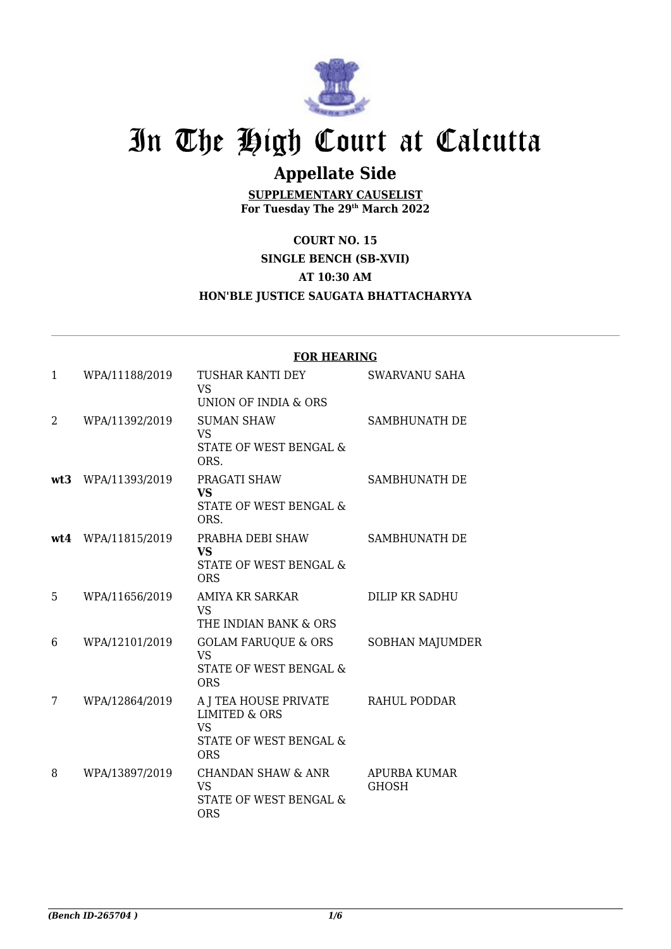

## In The High Court at Calcutta

## **Appellate Side**

**SUPPLEMENTARY CAUSELIST For Tuesday The 29th March 2022**

**COURT NO. 15 SINGLE BENCH (SB-XVII) AT 10:30 AM HON'BLE JUSTICE SAUGATA BHATTACHARYYA**

|              |                | <b>FOR HEARING</b>                                                                                     |                                     |  |
|--------------|----------------|--------------------------------------------------------------------------------------------------------|-------------------------------------|--|
| $\mathbf{1}$ | WPA/11188/2019 | TUSHAR KANTI DEY<br><b>VS</b><br>UNION OF INDIA & ORS                                                  | <b>SWARVANU SAHA</b>                |  |
| 2            | WPA/11392/2019 | <b>SUMAN SHAW</b><br><b>VS</b><br>STATE OF WEST BENGAL &<br>ORS.                                       | SAMBHUNATH DE                       |  |
| wt3          | WPA/11393/2019 | PRAGATI SHAW<br><b>VS</b><br>STATE OF WEST BENGAL &<br>ORS.                                            | SAMBHUNATH DE                       |  |
| wt4          | WPA/11815/2019 | PRABHA DEBI SHAW<br><b>VS</b><br>STATE OF WEST BENGAL &<br><b>ORS</b>                                  | SAMBHUNATH DE                       |  |
| 5            | WPA/11656/2019 | AMIYA KR SARKAR<br><b>VS</b><br>THE INDIAN BANK & ORS                                                  | DILIP KR SADHU                      |  |
| 6            | WPA/12101/2019 | <b>GOLAM FARUQUE &amp; ORS</b><br><b>VS</b><br>STATE OF WEST BENGAL &<br><b>ORS</b>                    | <b>SOBHAN MAJUMDER</b>              |  |
| 7            | WPA/12864/2019 | A J TEA HOUSE PRIVATE<br><b>LIMITED &amp; ORS</b><br><b>VS</b><br>STATE OF WEST BENGAL &<br><b>ORS</b> | RAHUL PODDAR                        |  |
| 8            | WPA/13897/2019 | <b>CHANDAN SHAW &amp; ANR</b><br><b>VS</b><br>STATE OF WEST BENGAL &<br><b>ORS</b>                     | <b>APURBA KUMAR</b><br><b>GHOSH</b> |  |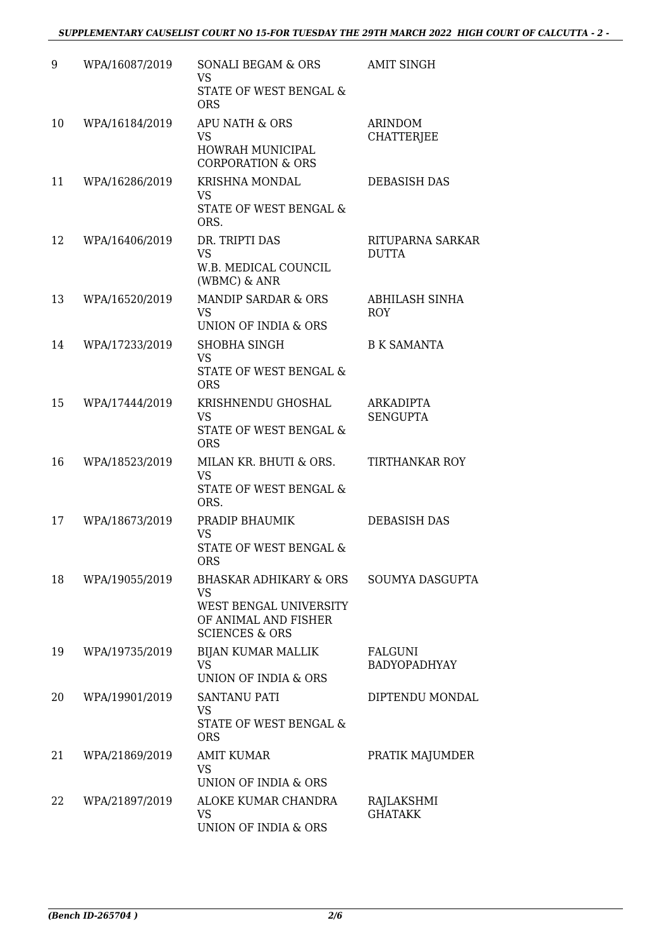| 9  | WPA/16087/2019 | <b>SONALI BEGAM &amp; ORS</b><br><b>VS</b><br>STATE OF WEST BENGAL &<br><b>ORS</b>                                            | <b>AMIT SINGH</b>                   |
|----|----------------|-------------------------------------------------------------------------------------------------------------------------------|-------------------------------------|
| 10 | WPA/16184/2019 | APU NATH & ORS<br><b>VS</b><br>HOWRAH MUNICIPAL<br><b>CORPORATION &amp; ORS</b>                                               | <b>ARINDOM</b><br><b>CHATTERJEE</b> |
| 11 | WPA/16286/2019 | <b>KRISHNA MONDAL</b><br><b>VS</b><br>STATE OF WEST BENGAL &<br>ORS.                                                          | <b>DEBASISH DAS</b>                 |
| 12 | WPA/16406/2019 | DR. TRIPTI DAS<br><b>VS</b><br>W.B. MEDICAL COUNCIL<br>(WBMC) & ANR                                                           | RITUPARNA SARKAR<br>DUTTA           |
| 13 | WPA/16520/2019 | MANDIP SARDAR & ORS<br><b>VS</b><br>UNION OF INDIA & ORS                                                                      | <b>ABHILASH SINHA</b><br><b>ROY</b> |
| 14 | WPA/17233/2019 | <b>SHOBHA SINGH</b><br><b>VS</b><br>STATE OF WEST BENGAL &<br><b>ORS</b>                                                      | <b>B K SAMANTA</b>                  |
| 15 | WPA/17444/2019 | KRISHNENDU GHOSHAL<br><b>VS</b><br>STATE OF WEST BENGAL &<br><b>ORS</b>                                                       | ARKADIPTA<br><b>SENGUPTA</b>        |
| 16 | WPA/18523/2019 | MILAN KR. BHUTI & ORS.<br><b>VS</b><br>STATE OF WEST BENGAL &<br>ORS.                                                         | <b>TIRTHANKAR ROY</b>               |
| 17 | WPA/18673/2019 | PRADIP BHAUMIK<br>VS<br>STATE OF WEST BENGAL &<br>ORS                                                                         | DEBASISH DAS                        |
| 18 | WPA/19055/2019 | <b>BHASKAR ADHIKARY &amp; ORS</b><br><b>VS</b><br>WEST BENGAL UNIVERSITY<br>OF ANIMAL AND FISHER<br><b>SCIENCES &amp; ORS</b> | SOUMYA DASGUPTA                     |
| 19 | WPA/19735/2019 | <b>BIJAN KUMAR MALLIK</b><br><b>VS</b><br>UNION OF INDIA & ORS                                                                | FALGUNI<br><b>BADYOPADHYAY</b>      |
| 20 | WPA/19901/2019 | SANTANU PATI<br>VS<br>STATE OF WEST BENGAL &<br><b>ORS</b>                                                                    | DIPTENDU MONDAL                     |
| 21 | WPA/21869/2019 | <b>AMIT KUMAR</b><br><b>VS</b><br>UNION OF INDIA & ORS                                                                        | PRATIK MAJUMDER                     |
| 22 | WPA/21897/2019 | ALOKE KUMAR CHANDRA<br><b>VS</b><br>UNION OF INDIA & ORS                                                                      | RAJLAKSHMI<br><b>GHATAKK</b>        |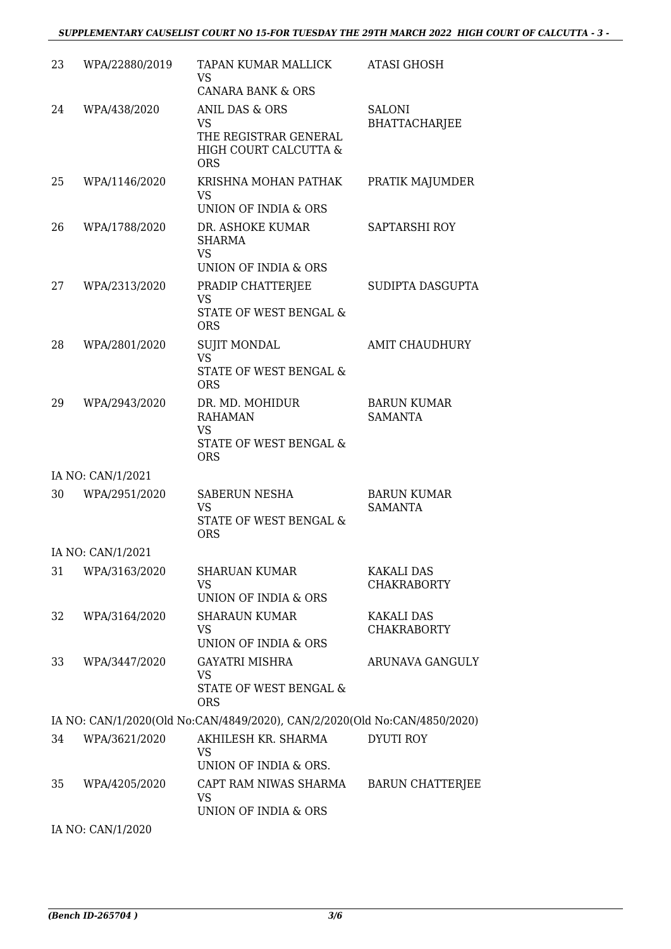## *SUPPLEMENTARY CAUSELIST COURT NO 15-FOR TUESDAY THE 29TH MARCH 2022 HIGH COURT OF CALCUTTA - 3 -*

| 23 | WPA/22880/2019    | TAPAN KUMAR MALLICK<br>VS                                                              | <b>ATASI GHOSH</b>                      |
|----|-------------------|----------------------------------------------------------------------------------------|-----------------------------------------|
| 24 | WPA/438/2020      | <b>CANARA BANK &amp; ORS</b><br><b>ANIL DAS &amp; ORS</b>                              | <b>SALONI</b>                           |
|    |                   | <b>VS</b><br>THE REGISTRAR GENERAL<br>HIGH COURT CALCUTTA &<br><b>ORS</b>              | <b>BHATTACHARJEE</b>                    |
| 25 | WPA/1146/2020     | KRISHNA MOHAN PATHAK<br><b>VS</b><br>UNION OF INDIA & ORS                              | PRATIK MAJUMDER                         |
| 26 | WPA/1788/2020     | DR. ASHOKE KUMAR<br>SHARMA<br><b>VS</b><br>UNION OF INDIA & ORS                        | SAPTARSHI ROY                           |
| 27 | WPA/2313/2020     | PRADIP CHATTERJEE<br><b>VS</b><br>STATE OF WEST BENGAL &<br><b>ORS</b>                 | SUDIPTA DASGUPTA                        |
| 28 | WPA/2801/2020     | <b>SUJIT MONDAL</b><br><b>VS</b><br>STATE OF WEST BENGAL &<br><b>ORS</b>               | <b>AMIT CHAUDHURY</b>                   |
| 29 | WPA/2943/2020     | DR. MD. MOHIDUR<br><b>RAHAMAN</b><br><b>VS</b><br>STATE OF WEST BENGAL &<br><b>ORS</b> | <b>BARUN KUMAR</b><br><b>SAMANTA</b>    |
|    | IA NO: CAN/1/2021 |                                                                                        |                                         |
| 30 | WPA/2951/2020     | SABERUN NESHA<br><b>VS</b><br>STATE OF WEST BENGAL &<br><b>ORS</b>                     | <b>BARUN KUMAR</b><br><b>SAMANTA</b>    |
|    | IA NO: CAN/1/2021 |                                                                                        |                                         |
| 31 | WPA/3163/2020     | <b>SHARUAN KUMAR</b><br>VS<br>UNION OF INDIA & ORS                                     | <b>KAKALI DAS</b><br><b>CHAKRABORTY</b> |
| 32 | WPA/3164/2020     | <b>SHARAUN KUMAR</b><br>VS<br>UNION OF INDIA & ORS                                     | <b>KAKALI DAS</b><br><b>CHAKRABORTY</b> |
| 33 | WPA/3447/2020     | <b>GAYATRI MISHRA</b><br><b>VS</b><br>STATE OF WEST BENGAL &<br><b>ORS</b>             | ARUNAVA GANGULY                         |
|    |                   | IA NO: CAN/1/2020(Old No:CAN/4849/2020), CAN/2/2020(Old No:CAN/4850/2020)              |                                         |
| 34 | WPA/3621/2020     | AKHILESH KR. SHARMA<br><b>VS</b><br>UNION OF INDIA & ORS.                              | <b>DYUTI ROY</b>                        |
| 35 | WPA/4205/2020     | CAPT RAM NIWAS SHARMA<br><b>VS</b><br>UNION OF INDIA & ORS                             | <b>BARUN CHATTERJEE</b>                 |
|    | IA NO: CAN/1/2020 |                                                                                        |                                         |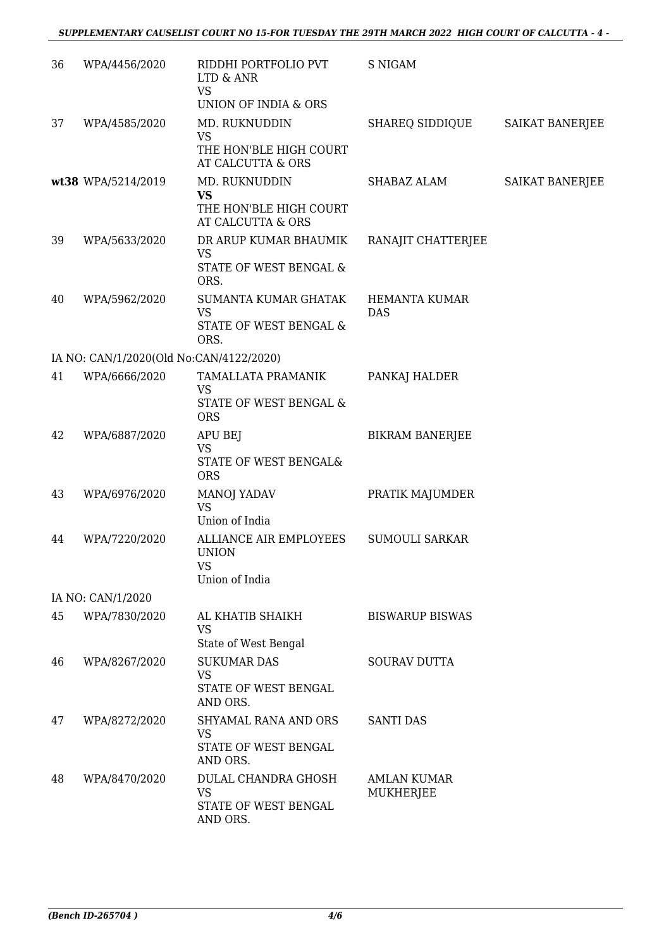| 36 | WPA/4456/2020                           | RIDDHI PORTFOLIO PVT<br>LTD & ANR<br><b>VS</b><br>UNION OF INDIA & ORS | <b>S NIGAM</b>                     |                        |
|----|-----------------------------------------|------------------------------------------------------------------------|------------------------------------|------------------------|
| 37 | WPA/4585/2020                           | MD. RUKNUDDIN<br><b>VS</b><br>THE HON'BLE HIGH COURT                   | SHAREQ SIDDIQUE                    | <b>SAIKAT BANERJEE</b> |
|    |                                         | AT CALCUTTA & ORS                                                      |                                    |                        |
|    | wt38 WPA/5214/2019                      | MD. RUKNUDDIN<br><b>VS</b>                                             | SHABAZ ALAM                        | SAIKAT BANERJEE        |
|    |                                         | THE HON'BLE HIGH COURT<br>AT CALCUTTA & ORS                            |                                    |                        |
| 39 | WPA/5633/2020                           | DR ARUP KUMAR BHAUMIK<br><b>VS</b><br>STATE OF WEST BENGAL &<br>ORS.   | RANAJIT CHATTERJEE                 |                        |
| 40 | WPA/5962/2020                           | SUMANTA KUMAR GHATAK<br><b>VS</b><br>STATE OF WEST BENGAL &<br>ORS.    | <b>HEMANTA KUMAR</b><br><b>DAS</b> |                        |
|    | IA NO: CAN/1/2020(Old No:CAN/4122/2020) |                                                                        |                                    |                        |
| 41 | WPA/6666/2020                           | TAMALLATA PRAMANIK                                                     | PANKAJ HALDER                      |                        |
|    |                                         | <b>VS</b><br>STATE OF WEST BENGAL &<br><b>ORS</b>                      |                                    |                        |
| 42 | WPA/6887/2020                           | APU BEJ<br><b>VS</b><br>STATE OF WEST BENGAL&<br><b>ORS</b>            | <b>BIKRAM BANERJEE</b>             |                        |
| 43 | WPA/6976/2020                           | MANOJ YADAV<br><b>VS</b><br>Union of India                             | PRATIK MAJUMDER                    |                        |
| 44 | WPA/7220/2020                           | ALLIANCE AIR EMPLOYEES<br><b>UNION</b><br><b>VS</b><br>Union of India  | <b>SUMOULI SARKAR</b>              |                        |
|    | IA NO: CAN/1/2020                       |                                                                        |                                    |                        |
| 45 | WPA/7830/2020                           | AL KHATIB SHAIKH<br><b>VS</b>                                          | <b>BISWARUP BISWAS</b>             |                        |
|    |                                         | State of West Bengal<br><b>SUKUMAR DAS</b>                             |                                    |                        |
| 46 | WPA/8267/2020                           | VS<br>STATE OF WEST BENGAL<br>AND ORS.                                 | SOURAV DUTTA                       |                        |
| 47 | WPA/8272/2020                           | SHYAMAL RANA AND ORS<br><b>VS</b>                                      | <b>SANTI DAS</b>                   |                        |
|    |                                         | STATE OF WEST BENGAL<br>AND ORS.                                       |                                    |                        |
| 48 | WPA/8470/2020                           | DULAL CHANDRA GHOSH<br><b>VS</b>                                       | <b>AMLAN KUMAR</b><br>MUKHERJEE    |                        |
|    |                                         | STATE OF WEST BENGAL<br>AND ORS.                                       |                                    |                        |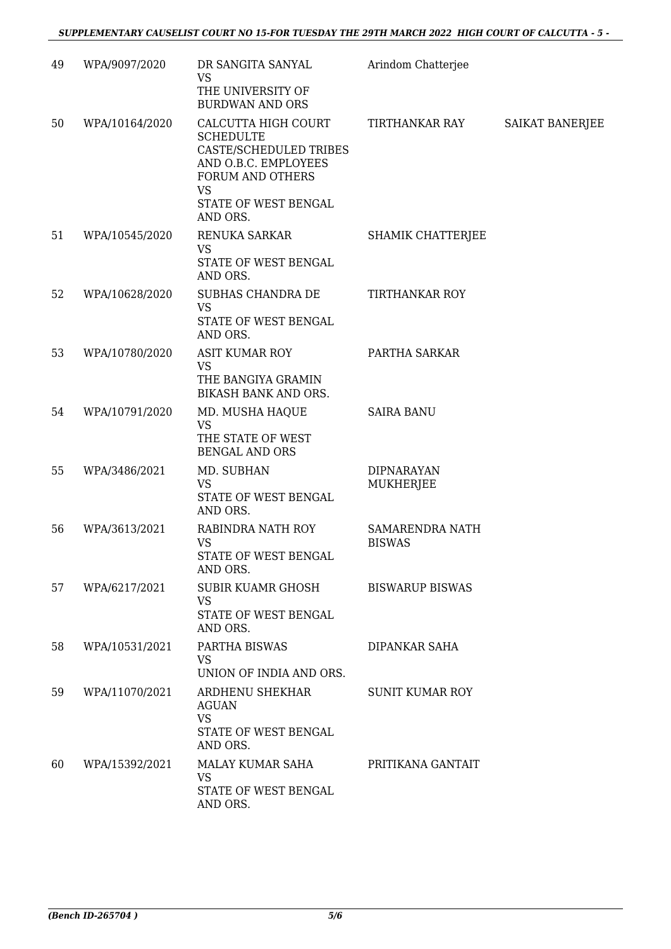| 49 | WPA/9097/2020  | DR SANGITA SANYAL<br><b>VS</b>                                                                                             | Arindom Chatterjee                      |                 |
|----|----------------|----------------------------------------------------------------------------------------------------------------------------|-----------------------------------------|-----------------|
|    |                | THE UNIVERSITY OF<br><b>BURDWAN AND ORS</b>                                                                                |                                         |                 |
| 50 | WPA/10164/2020 | CALCUTTA HIGH COURT<br><b>SCHEDULTE</b><br>CASTE/SCHEDULED TRIBES<br>AND O.B.C. EMPLOYEES<br>FORUM AND OTHERS<br><b>VS</b> | TIRTHANKAR RAY                          | SAIKAT BANERJEE |
|    |                | STATE OF WEST BENGAL<br>AND ORS.                                                                                           |                                         |                 |
| 51 | WPA/10545/2020 | RENUKA SARKAR<br><b>VS</b><br>STATE OF WEST BENGAL<br>AND ORS.                                                             | SHAMIK CHATTERJEE                       |                 |
| 52 | WPA/10628/2020 | SUBHAS CHANDRA DE<br><b>VS</b><br>STATE OF WEST BENGAL<br>AND ORS.                                                         | <b>TIRTHANKAR ROY</b>                   |                 |
| 53 | WPA/10780/2020 | <b>ASIT KUMAR ROY</b><br><b>VS</b><br>THE BANGIYA GRAMIN<br>BIKASH BANK AND ORS.                                           | PARTHA SARKAR                           |                 |
| 54 | WPA/10791/2020 | MD. MUSHA HAQUE<br><b>VS</b><br>THE STATE OF WEST<br><b>BENGAL AND ORS</b>                                                 | <b>SAIRA BANU</b>                       |                 |
| 55 | WPA/3486/2021  | MD. SUBHAN<br><b>VS</b><br>STATE OF WEST BENGAL<br>AND ORS.                                                                | <b>DIPNARAYAN</b><br>MUKHERJEE          |                 |
| 56 | WPA/3613/2021  | RABINDRA NATH ROY<br><b>VS</b><br>STATE OF WEST BENGAL<br>AND ORS.                                                         | <b>SAMARENDRA NATH</b><br><b>BISWAS</b> |                 |
| 57 | WPA/6217/2021  | SUBIR KUAMR GHOSH<br><b>VS</b><br>STATE OF WEST BENGAL<br>AND ORS.                                                         | <b>BISWARUP BISWAS</b>                  |                 |
| 58 | WPA/10531/2021 | PARTHA BISWAS<br><b>VS</b><br>UNION OF INDIA AND ORS.                                                                      | <b>DIPANKAR SAHA</b>                    |                 |
| 59 | WPA/11070/2021 | ARDHENU SHEKHAR<br><b>AGUAN</b><br><b>VS</b><br>STATE OF WEST BENGAL<br>AND ORS.                                           | <b>SUNIT KUMAR ROY</b>                  |                 |
| 60 | WPA/15392/2021 | MALAY KUMAR SAHA<br><b>VS</b><br>STATE OF WEST BENGAL<br>AND ORS.                                                          | PRITIKANA GANTAIT                       |                 |